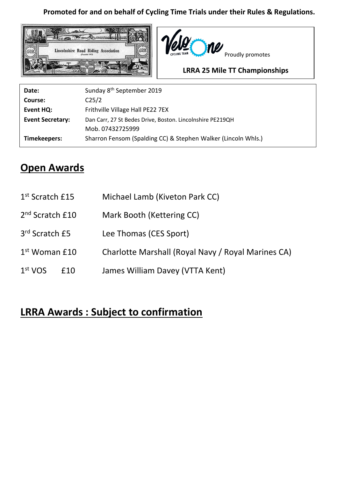## **Promoted for and on behalf of Cycling Time Trials under their Rules & Regulations.**





## **LRRA 25 Mile TT Championships**

| Date:                   | Sunday 8 <sup>th</sup> September 2019                         |
|-------------------------|---------------------------------------------------------------|
| Course:                 | C <sub>25/2</sub>                                             |
| Event HQ:               | Frithville Village Hall PE22 7EX                              |
| <b>Event Secretary:</b> | Dan Carr, 27 St Bedes Drive, Boston. Lincolnshire PE219QH     |
|                         | Mob. 07432725999                                              |
| Timekeepers:            | Sharron Fensom (Spalding CC) & Stephen Walker (Lincoln Whls.) |

## **Open Awards**

| 1 <sup>st</sup> Scratch £15 |     | Michael Lamb (Kiveton Park CC)                     |  |  |  |  |
|-----------------------------|-----|----------------------------------------------------|--|--|--|--|
| 2 <sup>nd</sup> Scratch £10 |     | Mark Booth (Kettering CC)                          |  |  |  |  |
| 3 <sup>rd</sup> Scratch £5  |     | Lee Thomas (CES Sport)                             |  |  |  |  |
| $1st$ Woman $£10$           |     | Charlotte Marshall (Royal Navy / Royal Marines CA) |  |  |  |  |
| 1 <sup>st</sup> VOS         | £10 | James William Davey (VTTA Kent)                    |  |  |  |  |

## **LRRA Awards : Subject to confirmation**